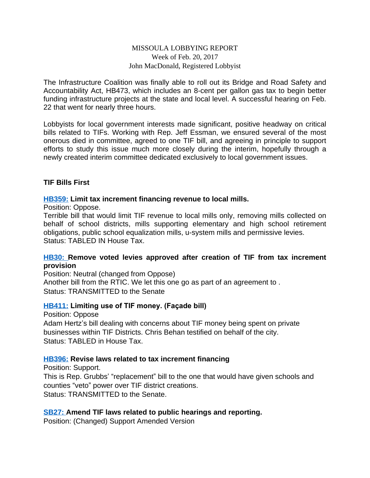### MISSOULA LOBBYING REPORT Week of Feb. 20, 2017 John MacDonald, Registered Lobbyist

The Infrastructure Coalition was finally able to roll out its Bridge and Road Safety and Accountability Act, HB473, which includes an 8-cent per gallon gas tax to begin better funding infrastructure projects at the state and local level. A successful hearing on Feb. 22 that went for nearly three hours.

Lobbyists for local government interests made significant, positive headway on critical bills related to TIFs. Working with Rep. Jeff Essman, we ensured several of the most onerous died in committee, agreed to one TIF bill, and agreeing in principle to support efforts to study this issue much more closely during the interim, hopefully through a newly created interim committee dedicated exclusively to local government issues.

### **TIF Bills First**

#### **[HB359:](http://laws.leg.mt.gov/legprd/LAW0210W$BSIV.ActionQuery?P_BILL_NO1=359&P_BLTP_BILL_TYP_CD=HB&Z_ACTION=Find&P_SESS=20171) Limit tax increment financing revenue to local mills.**

Position: Oppose.

Terrible bill that would limit TIF revenue to local mills only, removing mills collected on behalf of school districts, mills supporting elementary and high school retirement obligations, public school equalization mills, u-system mills and permissive levies. Status: TABLED IN House Tax.

#### **[HB30:](http://laws.leg.mt.gov/legprd/LAW0210W$BSIV.ActionQuery?P_BILL_NO1=30&P_BLTP_BILL_TYP_CD=HB&Z_ACTION=Find&P_SESS=20171) Remove voted levies approved after creation of TIF from tax increment provision**

Position: Neutral (changed from Oppose) Another bill from the RTIC. We let this one go as part of an agreement to . Status: TRANSMITTED to the Senate

### **[HB411:](http://laws.leg.mt.gov/legprd/LAW0210W$BSIV.ActionQuery?P_BILL_NO1=411&P_BLTP_BILL_TYP_CD=HB&Z_ACTION=Find&P_SESS=20171) Limiting use of TIF money. (Façade bill)**

Position: Oppose Adam Hertz's bill dealing with concerns about TIF money being spent on private businesses within TIF Districts. Chris Behan testified on behalf of the city. Status: TABLED in House Tax.

#### **[HB396:](http://laws.leg.mt.gov/legprd/LAW0210W$BSIV.ActionQuery?P_BILL_NO1=396&P_BLTP_BILL_TYP_CD=HB&Z_ACTION=Find&P_SESS=20171) Revise laws related to tax increment financing**

Position: Support. This is Rep. Grubbs' "replacement" bill to the one that would have given schools and counties "veto" power over TIF district creations. Status: TRANSMITTED to the Senate.

# **[SB27:](http://laws.leg.mt.gov/legprd/LAW0210W$BSIV.ActionQuery?P_BILL_NO1=27&P_BLTP_BILL_TYP_CD=SB&Z_ACTION=Find&P_SESS=20171) Amend TIF laws related to public hearings and reporting.**

Position: (Changed) Support Amended Version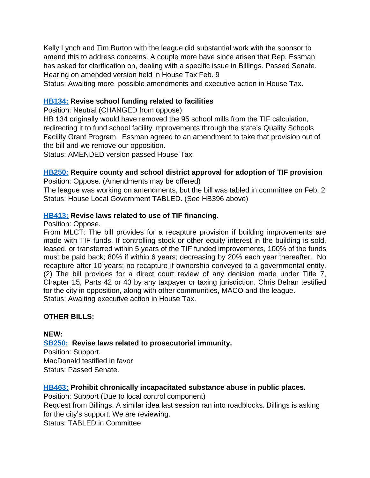Kelly Lynch and Tim Burton with the league did substantial work with the sponsor to amend this to address concerns. A couple more have since arisen that Rep. Essman has asked for clarification on, dealing with a specific issue in Billings. Passed Senate. Hearing on amended version held in House Tax Feb. 9

Status: Awaiting more possible amendments and executive action in House Tax.

# **[HB134:](http://laws.leg.mt.gov/legprd/LAW0210W$BSIV.ActionQuery?P_BILL_NO1=134&P_BLTP_BILL_TYP_CD=HB&Z_ACTION=Find&P_SESS=20171) Revise school funding related to facilities**

Position: Neutral (CHANGED from oppose)

HB 134 originally would have removed the 95 school mills from the TIF calculation, redirecting it to fund school facility improvements through the state's Quality Schools Facility Grant Program. Essman agreed to an amendment to take that provision out of the bill and we remove our opposition.

Status: AMENDED version passed House Tax

# **[HB250:](http://laws.leg.mt.gov/legprd/LAW0210W$BSIV.ActionQuery?P_BILL_NO1=250&P_BLTP_BILL_TYP_CD=HB&Z_ACTION=Find&P_SESS=20171) Require county and school district approval for adoption of TIF provision**

Position: Oppose. (Amendments may be offered)

The league was working on amendments, but the bill was tabled in committee on Feb. 2 Status: House Local Government TABLED. (See HB396 above)

# **[HB413:](http://laws.leg.mt.gov/legprd/LAW0210W$BSIV.ActionQuery?P_BILL_NO1=413&P_BLTP_BILL_TYP_CD=HB&Z_ACTION=Find&P_SESS=20171) Revise laws related to use of TIF financing.**

Position: Oppose.

From MLCT: The bill provides for a recapture provision if building improvements are made with TIF funds. If controlling stock or other equity interest in the building is sold, leased, or transferred within 5 years of the TIF funded improvements, 100% of the funds must be paid back; 80% if within 6 years; decreasing by 20% each year thereafter. No recapture after 10 years; no recapture if ownership conveyed to a governmental entity. (2) The bill provides for a direct court review of any decision made under Title 7, Chapter 15, Parts 42 or 43 by any taxpayer or taxing jurisdiction. Chris Behan testified for the city in opposition, along with other communities, MACO and the league. Status: Awaiting executive action in House Tax.

# **OTHER BILLS:**

#### **NEW:**

**[SB250:](http://laws.leg.mt.gov/legprd/LAW0210W$BSIV.ActionQuery?P_BILL_NO1=250&P_BLTP_BILL_TYP_CD=SB&Z_ACTION=Find&P_SESS=20171) Revise laws related to prosecutorial immunity.**

Position: Support. MacDonald testified in favor Status: Passed Senate.

# **[HB463:](http://laws.leg.mt.gov/legprd/LAW0210W$BSIV.ActionQuery?P_BILL_NO1=463&P_BLTP_BILL_TYP_CD=HB&Z_ACTION=Find&P_SESS=20171) Prohibit chronically incapacitated substance abuse in public places.**

Position: Support (Due to local control component)

Request from Billings. A similar idea last session ran into roadblocks. Billings is asking for the city's support. We are reviewing.

Status: TABLED in Committee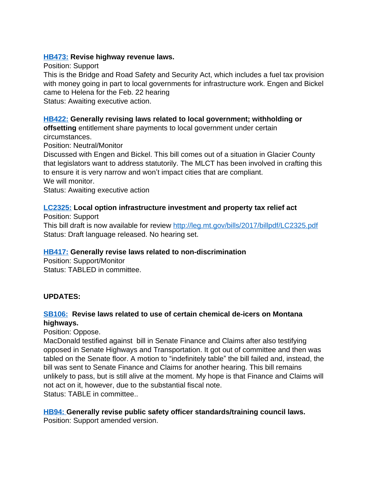### **[HB473:](http://laws.leg.mt.gov/legprd/LAW0210W$BSIV.ActionQuery?P_BILL_NO1=473&P_BLTP_BILL_TYP_CD=HB&Z_ACTION=Find&P_SESS=20171) Revise highway revenue laws.**

Position: Support This is the Bridge and Road Safety and Security Act, which includes a fuel tax provision with money going in part to local governments for infrastructure work. Engen and Bickel came to Helena for the Feb. 22 hearing Status: Awaiting executive action.

# **[HB422:](http://laws.leg.mt.gov/legprd/LAW0210W$BSIV.ActionQuery?P_BILL_NO1=422&P_BLTP_BILL_TYP_CD=HB&Z_ACTION=Find&P_SESS=20171) Generally revising laws related to local government; withholding or**

**offsetting** entitlement share payments to local government under certain circumstances.

Position: Neutral/Monitor

Discussed with Engen and Bickel. This bill comes out of a situation in Glacier County that legislators want to address statutorily. The MLCT has been involved in crafting this to ensure it is very narrow and won't impact cities that are compliant. We will monitor.

Status: Awaiting executive action

### **[LC2325:](http://laws.leg.mt.gov/legprd/LAW0210W$BSIV.ActionQuery?P_BILL_NO1=331&P_BLTP_BILL_TYP_CD=SB&Z_ACTION=Find&P_SESS=20171) Local option infrastructure investment and property tax relief act**

Position: Support This bill draft is now available for review <http://leg.mt.gov/bills/2017/billpdf/LC2325.pdf> Status: Draft language released. No hearing set.

#### **[HB417:](http://laws.leg.mt.gov/legprd/LAW0210W$BSIV.ActionQuery?P_BILL_NO1=417&P_BLTP_BILL_TYP_CD=HB&Z_ACTION=Find&P_SESS=20171) Generally revise laws related to non-discrimination**

Position: Support/Monitor Status: TABLED in committee.

# **UPDATES:**

# **[SB106:](http://laws.leg.mt.gov/legprd/LAW0210W$BSIV.ActionQuery?P_BILL_NO1=106&P_BLTP_BILL_TYP_CD=SB&Z_ACTION=Find&P_SESS=20171) Revise laws related to use of certain chemical de-icers on Montana highways.**

Position: Oppose.

MacDonald testified against bill in Senate Finance and Claims after also testifying opposed in Senate Highways and Transportation. It got out of committee and then was tabled on the Senate floor. A motion to "indefinitely table" the bill failed and, instead, the bill was sent to Senate Finance and Claims for another hearing. This bill remains unlikely to pass, but is still alive at the moment. My hope is that Finance and Claims will not act on it, however, due to the substantial fiscal note. Status: TABLE in committee.

# **[HB94:](http://laws.leg.mt.gov/legprd/LAW0210W$BSIV.ActionQuery?P_BILL_NO1=94&P_BLTP_BILL_TYP_CD=HB&Z_ACTION=Find&P_SESS=20171) Generally revise public safety officer standards/training council laws.**

Position: Support amended version.